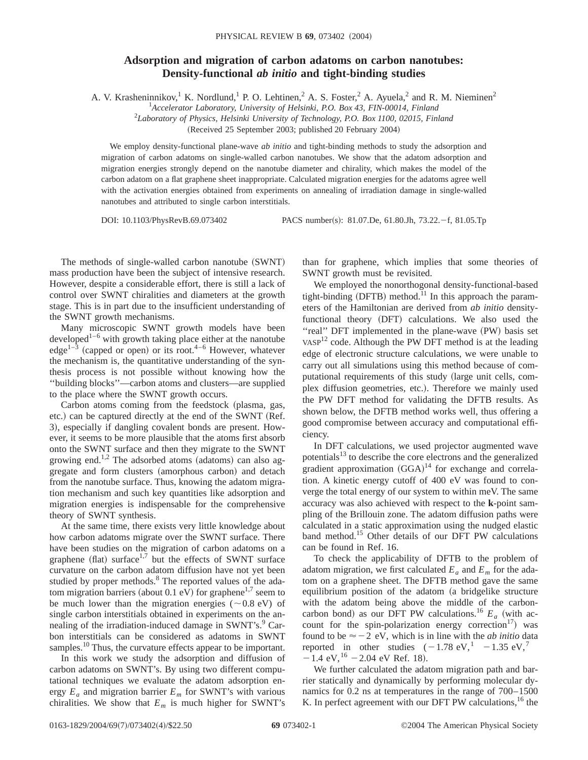## **Adsorption and migration of carbon adatoms on carbon nanotubes: Density-functional** *ab initio* **and tight-binding studies**

A. V. Krasheninnikov,<sup>1</sup> K. Nordlund,<sup>1</sup> P. O. Lehtinen,<sup>2</sup> A. S. Foster,<sup>2</sup> A. Ayuela,<sup>2</sup> and R. M. Nieminen<sup>2</sup>

1 *Accelerator Laboratory, University of Helsinki, P.O. Box 43, FIN-00014, Finland*

2 *Laboratory of Physics, Helsinki University of Technology, P.O. Box 1100, 02015, Finland*

(Received 25 September 2003; published 20 February 2004)

We employ density-functional plane-wave *ab initio* and tight-binding methods to study the adsorption and migration of carbon adatoms on single-walled carbon nanotubes. We show that the adatom adsorption and migration energies strongly depend on the nanotube diameter and chirality, which makes the model of the carbon adatom on a flat graphene sheet inappropriate. Calculated migration energies for the adatoms agree well with the activation energies obtained from experiments on annealing of irradiation damage in single-walled nanotubes and attributed to single carbon interstitials.

DOI: 10.1103/PhysRevB.69.073402 PACS number(s): 81.07.De, 61.80.Jh, 73.22.-f, 81.05.Tp

The methods of single-walled carbon nanotube (SWNT) mass production have been the subject of intensive research. However, despite a considerable effort, there is still a lack of control over SWNT chiralities and diameters at the growth stage. This is in part due to the insufficient understanding of the SWNT growth mechanisms.

Many microscopic SWNT growth models have been developed<sup>1–6</sup> with growth taking place either at the nanotube  $edge<sup>1-3</sup>$  (capped or open) or its root.<sup>4–6</sup> However, whatever the mechanism is, the quantitative understanding of the synthesis process is not possible without knowing how the ''building blocks''—carbon atoms and clusters—are supplied to the place where the SWNT growth occurs.

Carbon atoms coming from the feedstock (plasma, gas, etc.) can be captured directly at the end of the SWNT (Ref. 3), especially if dangling covalent bonds are present. However, it seems to be more plausible that the atoms first absorb onto the SWNT surface and then they migrate to the SWNT growing end.<sup>1,2</sup> The adsorbed atoms (adatoms) can also aggregate and form clusters (amorphous carbon) and detach from the nanotube surface. Thus, knowing the adatom migration mechanism and such key quantities like adsorption and migration energies is indispensable for the comprehensive theory of SWNT synthesis.

At the same time, there exists very little knowledge about how carbon adatoms migrate over the SWNT surface. There have been studies on the migration of carbon adatoms on a graphene (flat) surface<sup>1,7</sup> but the effects of SWNT surface curvature on the carbon adatom diffusion have not yet been studied by proper methods.<sup>8</sup> The reported values of the adatom migration barriers (about 0.1 eV) for graphene<sup>1,7</sup> seem to be much lower than the migration energies ( $\sim 0.8$  eV) of single carbon interstitials obtained in experiments on the annealing of the irradiation-induced damage in SWNT's. $\degree$  Carbon interstitials can be considered as adatoms in SWNT samples.<sup>10</sup> Thus, the curvature effects appear to be important.

In this work we study the adsorption and diffusion of carbon adatoms on SWNT's. By using two different computational techniques we evaluate the adatom adsorption energy  $E_a$  and migration barrier  $E_m$  for SWNT's with various chiralities. We show that  $E_m$  is much higher for SWNT's than for graphene, which implies that some theories of SWNT growth must be revisited.

We employed the nonorthogonal density-functional-based tight-binding  $(DFTB)$  method.<sup>11</sup> In this approach the parameters of the Hamiltonian are derived from *ab initio* densityfunctional theory (DFT) calculations. We also used the "real" DFT implemented in the plane-wave (PW) basis set VASP<sup>12</sup> code. Although the PW DFT method is at the leading edge of electronic structure calculations, we were unable to carry out all simulations using this method because of computational requirements of this study (large unit cells, complex diffusion geometries, etc.). Therefore we mainly used the PW DFT method for validating the DFTB results. As shown below, the DFTB method works well, thus offering a good compromise between accuracy and computational efficiency.

In DFT calculations, we used projector augmented wave potentials<sup>13</sup> to describe the core electrons and the generalized gradient approximation  $(GGA)^{14}$  for exchange and correlation. A kinetic energy cutoff of 400 eV was found to converge the total energy of our system to within meV. The same accuracy was also achieved with respect to the **k**-point sampling of the Brillouin zone. The adatom diffusion paths were calculated in a static approximation using the nudged elastic band method.15 Other details of our DFT PW calculations can be found in Ref. 16.

To check the applicability of DFTB to the problem of adatom migration, we first calculated  $E_a$  and  $E_m$  for the adatom on a graphene sheet. The DFTB method gave the same equilibrium position of the adatom (a bridgelike structure with the adatom being above the middle of the carboncarbon bond) as our DFT PW calculations.<sup>16</sup>  $E_a$  (with account for the spin-polarization energy correction<sup>17</sup>) was found to be  $\approx -2$  eV, which is in line with the *ab initio* data reported in other studies  $(-1.78 \text{ eV},^1 -1.35 \text{ eV},^7$  $-1.4$  eV, <sup>16</sup>  $-2.04$  eV Ref. 18).

We further calculated the adatom migration path and barrier statically and dynamically by performing molecular dynamics for 0.2 ns at temperatures in the range of 700–1500 K. In perfect agreement with our DFT PW calculations,  $^{16}$  the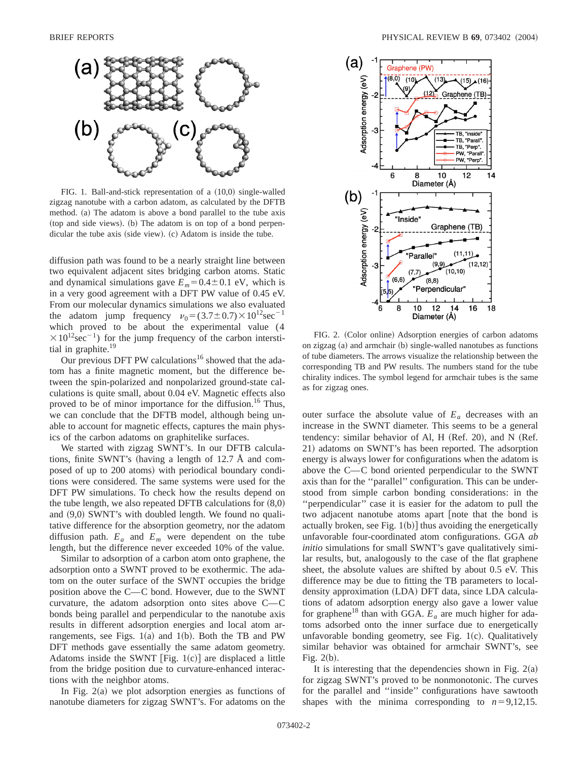

FIG. 1. Ball-and-stick representation of a  $(10,0)$  single-walled zigzag nanotube with a carbon adatom, as calculated by the DFTB method.  $(a)$  The adatom is above a bond parallel to the tube axis  $({\rm top and side views})$ .  $({\rm b})$  The adatom is on top of a bond perpendicular the tube axis (side view).  $(c)$  Adatom is inside the tube.

diffusion path was found to be a nearly straight line between two equivalent adjacent sites bridging carbon atoms. Static and dynamical simulations gave  $E_m$ =0.4±0.1 eV, which is in a very good agreement with a DFT PW value of 0.45 eV. From our molecular dynamics simulations we also evaluated the adatom jump frequency  $v_0 = (3.7 \pm 0.7) \times 10^{12}$ sec<sup>-1</sup> which proved to be about the experimental value (4  $\times 10^{12}$ sec<sup>-1</sup>) for the jump frequency of the carbon interstitial in graphite.<sup>19</sup>

Our previous DFT PW calculations<sup>16</sup> showed that the adatom has a finite magnetic moment, but the difference between the spin-polarized and nonpolarized ground-state calculations is quite small, about 0.04 eV. Magnetic effects also proved to be of minor importance for the diffusion.<sup>16</sup> Thus, we can conclude that the DFTB model, although being unable to account for magnetic effects, captures the main physics of the carbon adatoms on graphitelike surfaces.

We started with zigzag SWNT's. In our DFTB calculations, finite SWNT's (having a length of  $12.7 \text{ Å}$  and composed of up to 200 atoms) with periodical boundary conditions were considered. The same systems were used for the DFT PW simulations. To check how the results depend on the tube length, we also repeated DFTB calculations for  $(8,0)$ and  $(9,0)$  SWNT's with doubled length. We found no qualitative difference for the absorption geometry, nor the adatom diffusion path.  $E_a$  and  $E_m$  were dependent on the tube length, but the difference never exceeded 10% of the value.

Similar to adsorption of a carbon atom onto graphene, the adsorption onto a SWNT proved to be exothermic. The adatom on the outer surface of the SWNT occupies the bridge position above the C—C bond. However, due to the SWNT curvature, the adatom adsorption onto sites above  $C-C$ bonds being parallel and perpendicular to the nanotube axis results in different adsorption energies and local atom arrangements, see Figs.  $1(a)$  and  $1(b)$ . Both the TB and PW DFT methods gave essentially the same adatom geometry. Adatoms inside the SWNT  $[Fig. 1(c)]$  are displaced a little from the bridge position due to curvature-enhanced interactions with the neighbor atoms.

In Fig.  $2(a)$  we plot adsorption energies as functions of nanotube diameters for zigzag SWNT's. For adatoms on the



FIG. 2. (Color online) Adsorption energies of carbon adatoms on zigzag (a) and armchair (b) single-walled nanotubes as functions of tube diameters. The arrows visualize the relationship between the corresponding TB and PW results. The numbers stand for the tube chirality indices. The symbol legend for armchair tubes is the same as for zigzag ones.

outer surface the absolute value of  $E_a$  decreases with an increase in the SWNT diameter. This seems to be a general tendency: similar behavior of Al, H (Ref. 20), and N (Ref. 21) adatoms on SWNT's has been reported. The adsorption energy is always lower for configurations when the adatom is above the  $C-C$  bond oriented perpendicular to the SWNT axis than for the ''parallel'' configuration. This can be understood from simple carbon bonding considerations: in the ''perpendicular'' case it is easier for the adatom to pull the two adjacent nanotube atoms apart [note that the bond is actually broken, see Fig.  $1(b)$  thus avoiding the energetically unfavorable four-coordinated atom configurations. GGA *ab initio* simulations for small SWNT's gave qualitatively similar results, but, analogously to the case of the flat graphene sheet, the absolute values are shifted by about 0.5 eV. This difference may be due to fitting the TB parameters to localdensity approximation (LDA) DFT data, since LDA calculations of adatom adsorption energy also gave a lower value for graphene<sup>18</sup> than with GGA.  $E_a$  are much higher for adatoms adsorbed onto the inner surface due to energetically unfavorable bonding geometry, see Fig.  $1(c)$ . Qualitatively similar behavior was obtained for armchair SWNT's, see Fig.  $2(b)$ .

It is interesting that the dependencies shown in Fig.  $2(a)$ for zigzag SWNT's proved to be nonmonotonic. The curves for the parallel and ''inside'' configurations have sawtooth shapes with the minima corresponding to  $n=9,12,15$ .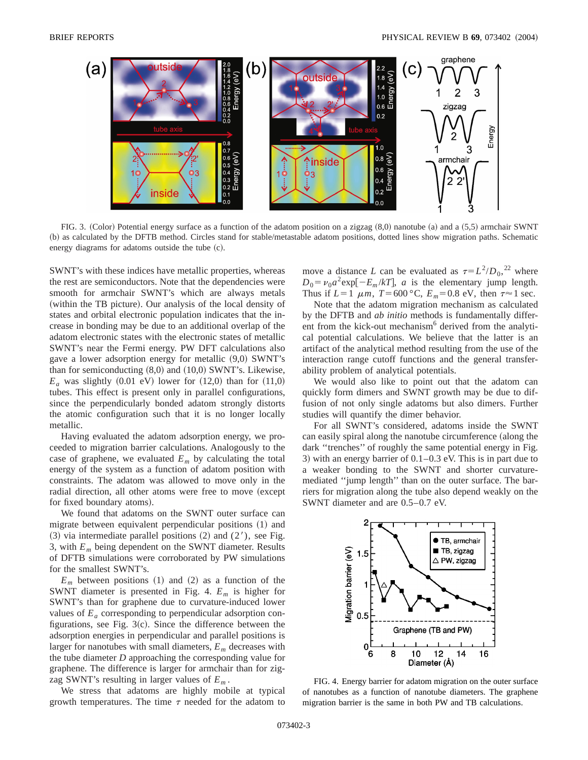

FIG. 3. (Color) Potential energy surface as a function of the adatom position on a zigzag  $(8,0)$  nanotube  $(a)$  and a  $(5,5)$  armchair SWNT ~b! as calculated by the DFTB method. Circles stand for stable/metastable adatom positions, dotted lines show migration paths. Schematic energy diagrams for adatoms outside the tube  $(c)$ .

SWNT's with these indices have metallic properties, whereas the rest are semiconductors. Note that the dependencies were smooth for armchair SWNT's which are always metals (within the TB picture). Our analysis of the local density of states and orbital electronic population indicates that the increase in bonding may be due to an additional overlap of the adatom electronic states with the electronic states of metallic SWNT's near the Fermi energy. PW DFT calculations also gave a lower adsorption energy for metallic  $(9,0)$  SWNT's than for semiconducting  $(8,0)$  and  $(10,0)$  SWNT's. Likewise,  $E_a$  was slightly  $(0.01 \text{ eV})$  lower for  $(12,0)$  than for  $(11,0)$ tubes. This effect is present only in parallel configurations, since the perpendicularly bonded adatom strongly distorts the atomic configuration such that it is no longer locally metallic.

Having evaluated the adatom adsorption energy, we proceeded to migration barrier calculations. Analogously to the case of graphene, we evaluated  $E_m$  by calculating the total energy of the system as a function of adatom position with constraints. The adatom was allowed to move only in the radial direction, all other atoms were free to move (except for fixed boundary atoms).

We found that adatoms on the SWNT outer surface can migrate between equivalent perpendicular positions (1) and  $(3)$  via intermediate parallel positions  $(2)$  and  $(2')$ , see Fig. 3, with  $E_m$  being dependent on the SWNT diameter. Results of DFTB simulations were corroborated by PW simulations for the smallest SWNT's.

 $E_m$  between positions (1) and (2) as a function of the SWNT diameter is presented in Fig. 4. *Em* is higher for SWNT's than for graphene due to curvature-induced lower values of  $E_a$  corresponding to perpendicular adsorption configurations, see Fig.  $3(c)$ . Since the difference between the adsorption energies in perpendicular and parallel positions is larger for nanotubes with small diameters, *Em* decreases with the tube diameter *D* approaching the corresponding value for graphene. The difference is larger for armchair than for zigzag SWNT's resulting in larger values of *Em* .

We stress that adatoms are highly mobile at typical growth temperatures. The time  $\tau$  needed for the adatom to

move a distance *L* can be evaluated as  $\tau = L^2/D_0$ , <sup>22</sup> where  $D_0 = v_0 a^2 \exp[-E_m/kT]$ , *a* is the elementary jump length. Thus if  $L=1 \mu m$ ,  $T=600 \degree \text{C}$ ,  $E_m=0.8 \text{ eV}$ , then  $\tau \approx 1 \text{ sec}$ .

Note that the adatom migration mechanism as calculated by the DFTB and *ab initio* methods is fundamentally different from the kick-out mechanism<sup>6</sup> derived from the analytical potential calculations. We believe that the latter is an artifact of the analytical method resulting from the use of the interaction range cutoff functions and the general transferability problem of analytical potentials.

We would also like to point out that the adatom can quickly form dimers and SWNT growth may be due to diffusion of not only single adatoms but also dimers. Further studies will quantify the dimer behavior.

For all SWNT's considered, adatoms inside the SWNT can easily spiral along the nanotube circumference (along the dark ''trenches'' of roughly the same potential energy in Fig. 3) with an energy barrier of  $0.1-0.3$  eV. This is in part due to a weaker bonding to the SWNT and shorter curvaturemediated ''jump length'' than on the outer surface. The barriers for migration along the tube also depend weakly on the SWNT diameter and are 0.5–0.7 eV.



FIG. 4. Energy barrier for adatom migration on the outer surface of nanotubes as a function of nanotube diameters. The graphene migration barrier is the same in both PW and TB calculations.